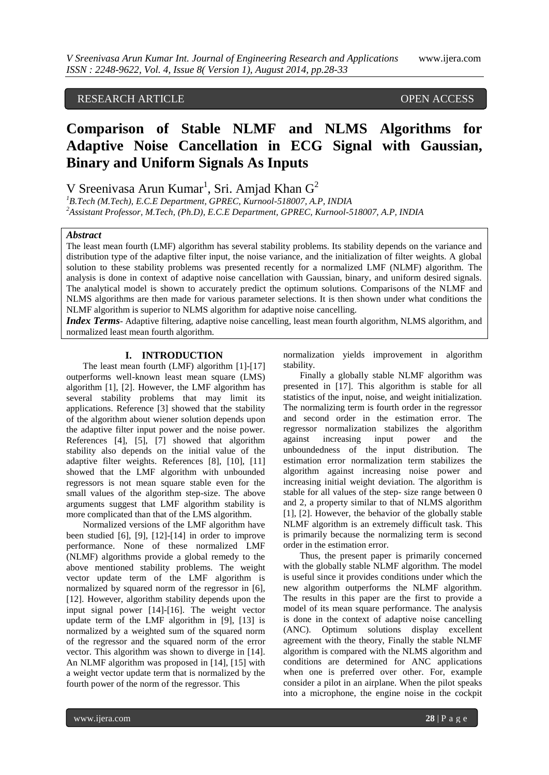## RESEARCH ARTICLE OPEN ACCESS

# **Comparison of Stable NLMF and NLMS Algorithms for Adaptive Noise Cancellation in ECG Signal with Gaussian, Binary and Uniform Signals As Inputs**

V Sreenivasa Arun Kumar<sup>1</sup>, Sri. Amjad Khan  $G^2$ 

*<sup>1</sup>B.Tech (M.Tech), E.C.E Department, GPREC, Kurnool-518007, A.P, INDIA <sup>2</sup>Assistant Professor, M.Tech, (Ph.D), E.C.E Department, GPREC, Kurnool-518007, A.P, INDIA*

#### *Abstract*

The least mean fourth (LMF) algorithm has several stability problems. Its stability depends on the variance and distribution type of the adaptive filter input, the noise variance, and the initialization of filter weights. A global solution to these stability problems was presented recently for a normalized LMF (NLMF) algorithm. The analysis is done in context of adaptive noise cancellation with Gaussian, binary, and uniform desired signals. The analytical model is shown to accurately predict the optimum solutions. Comparisons of the NLMF and NLMS algorithms are then made for various parameter selections. It is then shown under what conditions the NLMF algorithm is superior to NLMS algorithm for adaptive noise cancelling.

*Index Terms*- Adaptive filtering, adaptive noise cancelling, least mean fourth algorithm, NLMS algorithm, and normalized least mean fourth algorithm.

#### **I. INTRODUCTION**

The least mean fourth (LMF) algorithm [1]-[17] outperforms well-known least mean square (LMS) algorithm [1], [2]. However, the LMF algorithm has several stability problems that may limit its applications. Reference [3] showed that the stability of the algorithm about wiener solution depends upon the adaptive filter input power and the noise power. References [4], [5], [7] showed that algorithm stability also depends on the initial value of the adaptive filter weights. References [8], [10], [11] showed that the LMF algorithm with unbounded regressors is not mean square stable even for the small values of the algorithm step-size. The above arguments suggest that LMF algorithm stability is more complicated than that of the LMS algorithm.

Normalized versions of the LMF algorithm have been studied [6], [9], [12]-[14] in order to improve performance. None of these normalized LMF (NLMF) algorithms provide a global remedy to the above mentioned stability problems. The weight vector update term of the LMF algorithm is normalized by squared norm of the regressor in [6], [12]. However, algorithm stability depends upon the input signal power [14]-[16]. The weight vector update term of the LMF algorithm in [9], [13] is normalized by a weighted sum of the squared norm of the regressor and the squared norm of the error vector. This algorithm was shown to diverge in [14]. An NLMF algorithm was proposed in [14], [15] with a weight vector update term that is normalized by the fourth power of the norm of the regressor. This

normalization yields improvement in algorithm stability.

Finally a globally stable NLMF algorithm was presented in [17]. This algorithm is stable for all statistics of the input, noise, and weight initialization. The normalizing term is fourth order in the regressor and second order in the estimation error. The regressor normalization stabilizes the algorithm against increasing input power and the unboundedness of the input distribution. The estimation error normalization term stabilizes the algorithm against increasing noise power and increasing initial weight deviation. The algorithm is stable for all values of the step- size range between 0 and 2, a property similar to that of NLMS algorithm [1], [2]. However, the behavior of the globally stable NLMF algorithm is an extremely difficult task. This is primarily because the normalizing term is second order in the estimation error.

Thus, the present paper is primarily concerned with the globally stable NLMF algorithm. The model is useful since it provides conditions under which the new algorithm outperforms the NLMF algorithm. The results in this paper are the first to provide a model of its mean square performance. The analysis is done in the context of adaptive noise cancelling (ANC). Optimum solutions display excellent agreement with the theory, Finally the stable NLMF algorithm is compared with the NLMS algorithm and conditions are determined for ANC applications when one is preferred over other. For, example consider a pilot in an airplane. When the pilot speaks into a microphone, the engine noise in the cockpit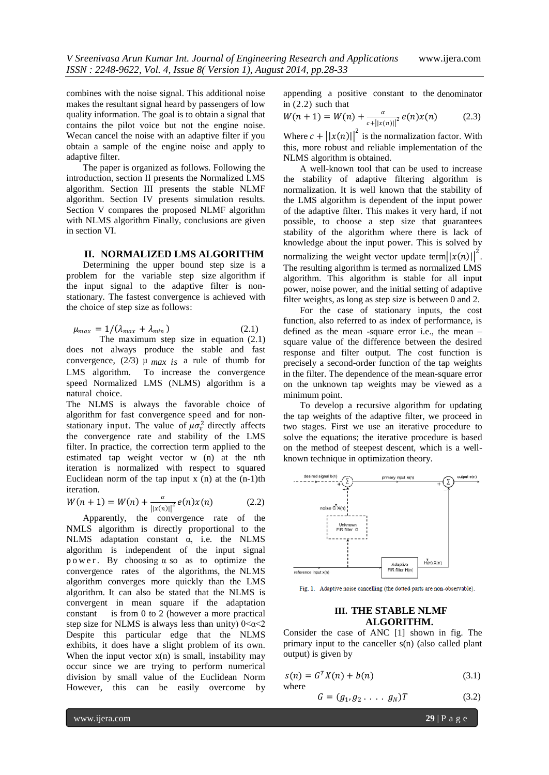combines with the noise signal. This additional noise makes the resultant signal heard by passengers of low quality information. The goal is to obtain a signal that contains the pilot voice but not the engine noise. Wecan cancel the noise with an adaptive filter if you obtain a sample of the engine noise and apply to adaptive filter.

The paper is organized as follows. Following the introduction, section II presents the Normalized LMS algorithm. Section III presents the stable NLMF algorithm. Section IV presents simulation results. Section V compares the proposed NLMF algorithm with NLMS algorithm Finally, conclusions are given in section VI.

#### **II. NORMALIZED LMS ALGORITHM**

Determining the upper bound step size is a problem for the variable step size algorithm if the input signal to the adaptive filter is nonstationary. The fastest convergence is achieved with the choice of step size as follows:

$$
\mu_{max} = 1/(\lambda_{max} + \lambda_{min}) \tag{2.1}
$$

The maximum step size in equation (2.1) does not always produce the stable and fast convergence,  $(2/3)$   $\mu$  *max is* a rule of thumb for LMS algorithm. To increase the convergence speed Normalized LMS (NLMS) algorithm is a natural choice.

The NLMS is always the favorable choice of algorithm for fast convergence speed and for nonstationary input. The value of  $\mu \sigma_x^2$  directly affects the convergence rate and stability of the LMS filter. In practice, the correction term applied to the estimated tap weight vector w (n) at the nth iteration is normalized with respect to squared Euclidean norm of the tap input  $x(n)$  at the  $(n-1)$ th iteration.

$$
W(n + 1) = W(n) + \frac{\alpha}{\|x(n)\|^{2}} e(n)x(n)
$$
 (2.2)

Apparently, the convergence rate of the NMLS algorithm is directly proportional to the NLMS adaptation constant  $\alpha$ , i.e. the NLMS algorithm is independent of the input signal p o w e r. By choosing  $\alpha$  so as to optimize the convergence rates of the algorithms, the NLMS algorithm converges more quickly than the LMS algorithm. It can also be stated that the NLMS is convergent in mean square if the adaptation constant is from 0 to 2 (however a more practical step size for NLMS is always less than unity)  $0 < \alpha < 2$ Despite this particular edge that the NLMS exhibits, it does have a slight problem of its own. When the input vector  $x(n)$  is small, instability may occur since we are trying to perform numerical division by small value of the Euclidean Norm However, this can be easily overcome by

appending a positive constant to the denominator in (2.2) such that

$$
W(n + 1) = W(n) + \frac{\alpha}{c + ||x(n)||^2} e(n)x(n)
$$
 (2.3)

Where  $c + ||x(n)||^2$  is the normalization factor. With this, more robust and reliable implementation of the NLMS algorithm is obtained.

A well-known tool that can be used to increase the stability of adaptive filtering algorithm is normalization. It is well known that the stability of the LMS algorithm is dependent of the input power of the adaptive filter. This makes it very hard, if not possible, to choose a step size that guarantees stability of the algorithm where there is lack of knowledge about the input power. This is solved by normalizing the weight vector update term $||x(n)||^2$ . The resulting algorithm is termed as normalized LMS algorithm. This algorithm is stable for all input power, noise power, and the initial setting of adaptive filter weights, as long as step size is between 0 and 2.

For the case of stationary inputs, the cost function, also referred to as index of performance, is defined as the mean -square error i.e., the mean – square value of the difference between the desired response and filter output. The cost function is precisely a second-order function of the tap weights in the filter. The dependence of the mean-square error on the unknown tap weights may be viewed as a minimum point.

To develop a recursive algorithm for updating the tap weights of the adaptive filter, we proceed in two stages. First we use an iterative procedure to solve the equations; the iterative procedure is based on the method of steepest descent, which is a wellknown technique in optimization theory.



Fig. 1. Adaptive noise cancelling (the dotted parts are non-observable).

#### **III. THE STABLE NLMF ALGORITHM.**

Consider the case of ANC [1] shown in fig. The primary input to the canceller s(n) (also called plant output) is given by

$$
s(n) = GT X(n) + b(n)
$$
 (3.1)  
where

$$
G = (g_1, g_2, \dots, g_N)T
$$
 (3.2)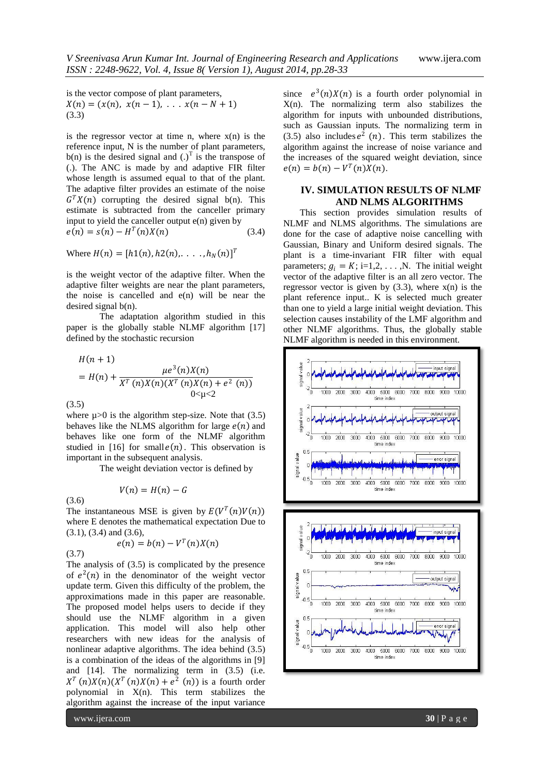is the vector compose of plant parameters,  $X(n) = (x(n), x(n-1), \ldots x(n-N+1))$ (3.3)

is the regressor vector at time n, where  $x(n)$  is the reference input, N is the number of plant parameters,  $b(n)$  is the desired signal and  $(.)^T$  is the transpose of (.). The ANC is made by and adaptive FIR filter whose length is assumed equal to that of the plant. The adaptive filter provides an estimate of the noise  $G<sup>T</sup> X(n)$  corrupting the desired signal b(n). This estimate is subtracted from the canceller primary input to yield the canceller output  $e(n)$  given by  $e(n) = s(n) - H^T(n)X(n)$  (3.4)

Where  $H(n) = [h1(n), h2(n), \ldots, h_N(n)]^T$ 

is the weight vector of the adaptive filter. When the adaptive filter weights are near the plant parameters, the noise is cancelled and  $e(n)$  will be near the desired signal b(n).

The adaptation algorithm studied in this paper is the globally stable NLMF algorithm [17] defined by the stochastic recursion

$$
H(n + 1)
$$
  
=  $H(n) + \frac{\mu e^{3}(n)X(n)}{X^{T}(n)X(n)(X^{T}(n)X(n) + e^{2}(n))}$   
0 $\lt \mu \lt 2$ 

(3.5)

where  $\mu$  > 0 is the algorithm step-size. Note that (3.5) behaves like the NLMS algorithm for large  $e(n)$  and behaves like one form of the NLMF algorithm studied in [16] for small  $e(n)$ . This observation is important in the subsequent analysis.

The weight deviation vector is defined by

$$
V(n) = H(n) - G
$$

(3.6) The instantaneous MSE is given by  $E(V^T(n)V(n))$ where E denotes the mathematical expectation Due to (3.1), (3.4) and (3.6),

$$
e(n) = b(n) - V^T(n)X(n)
$$

(3.7)

The analysis of (3.5) is complicated by the presence of  $e^2(n)$  in the denominator of the weight vector update term. Given this difficulty of the problem, the approximations made in this paper are reasonable. The proposed model helps users to decide if they should use the NLMF algorithm in a given application. This model will also help other researchers with new ideas for the analysis of

nonlinear adaptive algorithms. The idea behind (3.5) is a combination of the ideas of the algorithms in [9] and [14]. The normalizing term in (3.5) (i.e.  $X^T(n)X(n)(X^T(n)X(n) + e^2(n))$  is a fourth order polynomial in X(n). This term stabilizes the algorithm against the increase of the input variance

since  $e^3(n)X(n)$  is a fourth order polynomial in X(n). The normalizing term also stabilizes the algorithm for inputs with unbounded distributions, such as Gaussian inputs. The normalizing term in  $(3.5)$  also includes  $e^2$   $(n)$ . This term stabilizes the algorithm against the increase of noise variance and the increases of the squared weight deviation, since  $e(n) = b(n) - V^T(n)X(n).$ 

#### **IV. SIMULATION RESULTS OF NLMF AND NLMS ALGORITHMS**

This section provides simulation results of NLMF and NLMS algorithms. The simulations are done for the case of adaptive noise cancelling with Gaussian, Binary and Uniform desired signals. The plant is a time-invariant FIR filter with equal parameters;  $g_i = K$ ; i=1,2, . . . ,N. The initial weight vector of the adaptive filter is an all zero vector. The regressor vector is given by  $(3.3)$ , where  $x(n)$  is the plant reference input.. K is selected much greater than one to yield a large initial weight deviation. This selection causes instability of the LMF algorithm and other NLMF algorithms. Thus, the globally stable NLMF algorithm is needed in this environment.



www.ijera.com **30** | P a g e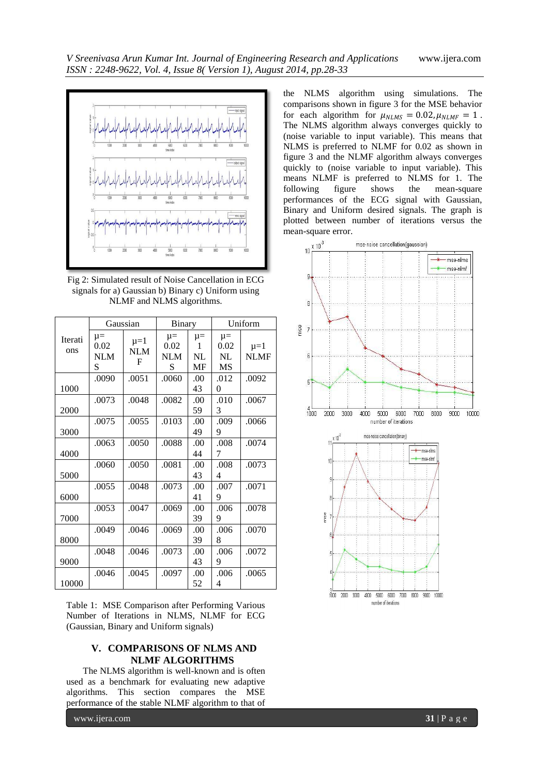

Fig 2: Simulated result of Noise Cancellation in ECG signals for a) Gaussian b) Binary c) Uniform using NLMF and NLMS algorithms.

|                | Gaussian                           |                              | Binary                             |                                 | Uniform                            |                        |
|----------------|------------------------------------|------------------------------|------------------------------------|---------------------------------|------------------------------------|------------------------|
| Iterati<br>ons | $\mu =$<br>0.02<br><b>NLM</b><br>S | $\mu = 1$<br><b>NLM</b><br>F | $\mu =$<br>0.02<br><b>NLM</b><br>S | $\mu =$<br>1<br><b>NL</b><br>MF | $\mu =$<br>0.02<br>NL<br><b>MS</b> | $\mu=1$<br><b>NLMF</b> |
| 1000           | .0090                              | .0051                        | .0060                              | .00.<br>43                      | .012<br>$\theta$                   | .0092                  |
| 2000           | .0073                              | .0048                        | .0082                              | .00<br>59                       | .010<br>3                          | .0067                  |
| 3000           | .0075                              | .0055                        | .0103                              | .00<br>49                       | .009<br>9                          | .0066                  |
| 4000           | .0063                              | .0050                        | .0088                              | .00<br>44                       | .008<br>7                          | .0074                  |
| 5000           | .0060                              | .0050                        | .0081                              | .00<br>43                       | .008<br>4                          | .0073                  |
| 6000           | .0055                              | .0048                        | .0073                              | .00<br>41                       | .007<br>9                          | .0071                  |
| 7000           | .0053                              | .0047                        | .0069                              | .00.<br>39                      | .006<br>9                          | .0078                  |
| 8000           | .0049                              | .0046                        | .0069                              | .00<br>39                       | .006<br>8                          | .0070                  |
| 9000           | .0048                              | .0046                        | .0073                              | .00<br>43                       | .006<br>9                          | .0072                  |
| 10000          | .0046                              | .0045                        | .0097                              | .00<br>52                       | .006<br>4                          | .0065                  |

Table 1: MSE Comparison after Performing Various Number of Iterations in NLMS, NLMF for ECG (Gaussian, Binary and Uniform signals)

### **V. COMPARISONS OF NLMS AND NLMF ALGORITHMS**

The NLMS algorithm is well-known and is often used as a benchmark for evaluating new adaptive algorithms. This section compares the MSE performance of the stable NLMF algorithm to that of

www.ijera.com **31** | P a g e

the NLMS algorithm using simulations. The comparisons shown in figure 3 for the MSE behavior for each algorithm for  $\mu_{NLMS} = 0.02$ ,  $\mu_{NLMF} = 1$ . The NLMS algorithm always converges quickly to (noise variable to input variable). This means that NLMS is preferred to NLMF for 0.02 as shown in figure 3 and the NLMF algorithm always converges quickly to (noise variable to input variable). This means NLMF is preferred to NLMS for 1. The following figure shows the mean-square performances of the ECG signal with Gaussian, Binary and Uniform desired signals. The graph is plotted between number of iterations versus the mean-square error.



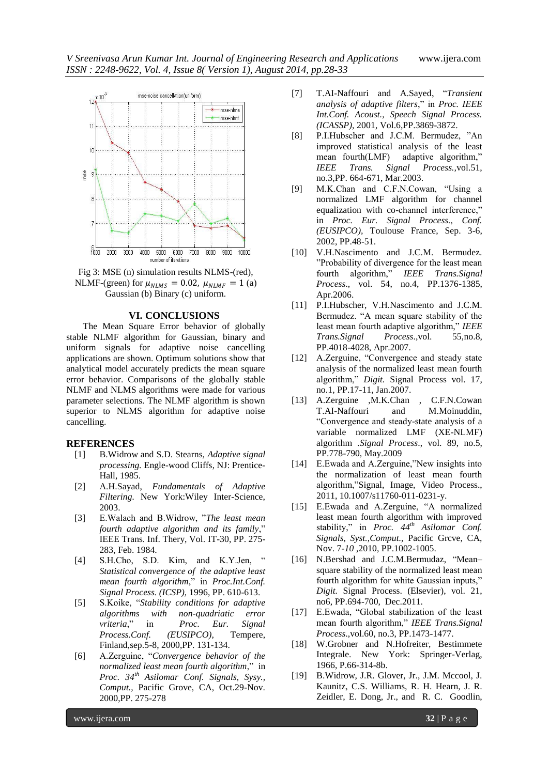

Fig 3: MSE (n) simulation results NLMS-(red), NLMF-(green) for  $\mu_{NLMS} = 0.02$ ,  $\mu_{NLMF} = 1$  (a) Gaussian (b) Binary (c) uniform.

#### **VI. CONCLUSIONS**

The Mean Square Error behavior of globally stable NLMF algorithm for Gaussian, binary and uniform signals for adaptive noise cancelling applications are shown. Optimum solutions show that analytical model accurately predicts the mean square error behavior. Comparisons of the globally stable NLMF and NLMS algorithms were made for various parameter selections. The NLMF algorithm is shown superior to NLMS algorithm for adaptive noise cancelling.

#### **REFERENCES**

- [1] B.Widrow and S.D. Stearns, *Adaptive signal processing.* Engle-wood Cliffs, NJ: Prentice-Hall, 1985.
- [2] A.H.Sayad, *Fundamentals of Adaptive Filtering.* New York:Wiley Inter-Science, 2003.
- [3] E.Walach and B.Widrow, "*The least mean fourth adaptive algorithm and its family*," IEEE Trans. Inf. Thery, Vol. IT-30, PP. 275- 283, Feb. 1984.
- [4] S.H.Cho, S.D. Kim, and K.Y.Jen, " *Statistical convergence of the adaptive least mean fourth algorithm*," in *Proc.Int.Conf. Signal Process. (ICSP),* 1996, PP. 610-613.
- [5] S.Koike, "*Stability conditions for adaptive algorithms with non-quadriatic error vriteria*," in *Proc. Eur. Signal Process.Conf. (EUSIPCO),* Tempere, Finland,sep.5-8, 2000,PP. 131-134.
- [6] A.Zerguine, "*Convergence behavior of the normalized least mean fourth algorithm*," in *Proc. 34th Asilomar Conf. Signals, Sysy., Comput.,* Pacific Grove, CA, Oct.29-Nov. 2000,PP. 275-278
- [7] T.AI-Naffouri and A.Sayed, "*Transient analysis of adaptive filters*," in *Proc. IEEE Int.Conf. Acoust., Speech Signal Process. (ICASSP),* 2001, Vol.6,PP.3869-3872.
- [8] P.I.Hubscher and J.C.M. Bermudez, "An improved statistical analysis of the least mean fourth(LMF) adaptive algorithm," *IEEE Trans. Signal Process.,*vol.51, no.3,PP. 664-671, Mar.2003.
- [9] M.K.Chan and C.F.N.Cowan, "Using a normalized LMF algorithm for channel equalization with co-channel interference," in *Proc. Eur. Signal Process., Conf. (EUSIPCO),* Toulouse France, Sep. 3-6, 2002, PP.48-51.
- [10] V.H.Nascimento and J.C.M. Bermudez. "Probability of divergence for the least mean fourth algorithm," *IEEE Trans.Signal Process*., vol. 54, no.4, PP.1376-1385, Apr.2006.
- [11] P.I.Hubscher, V.H.Nascimento and J.C.M. Bermudez. "A mean square stability of the least mean fourth adaptive algorithm," *IEEE Trans.Signal Process*.,vol. 55,no.8, PP.4018-4028, Apr.2007.
- [12] A.Zerguine, "Convergence and steady state analysis of the normalized least mean fourth algorithm," *Digit.* Signal Process vol. 17, no.1, PP.17-11, Jan.2007.
- [13] A.Zerguine ,M.K.Chan , C.F.N.Cowan T.AI-Naffouri and M.Moinuddin, "Convergence and steady-state analysis of a variable normalized LMF (XE-NLMF) algorithm *.Signal Process*., vol. 89, no.5, PP.778-790, May.2009
- [14] E.Ewada and A.Zerguine,"New insights into the normalization of least mean fourth algorithm,"Signal, Image, Video Process., 2011, 10.1007/s11760-011-0231-y.
- [15] E.Ewada and A.Zerguine, "A normalized least mean fourth algorithm with improved stability," in *Proc. 44th Asilomar Conf. Signals, Syst.,Comput.,* Pacific Grcve, CA, Nov. 7*-10* ,2010, PP.1002-1005.
- [16] N.Bershad and J.C.M.Bermudaz, "Mean– square stability of the normalized least mean fourth algorithm for white Gaussian inputs," *Digit.* Signal Process. (Elsevier), vol. 21, no6, PP.694-700, Dec.2011.
- [17] E.Ewada, "Global stabilization of the least mean fourth algorithm," *IEEE Trans.Signal Process*.,vol.60, no.3, PP.1473-1477.
- [18] W.Grobner and N.Hofreiter, Bestimmete Integrale. New York: Springer-Verlag, 1966, P.66-314-8b.
- [19] B.Widrow, J.R. Glover, Jr., J.M. Mccool, J. Kaunitz, C.S. Williams, R. H. Hearn, J. R. Zeidler, E. Dong, Jr., and R. C. Goodlin,

www.ijera.com **32** | P a g e